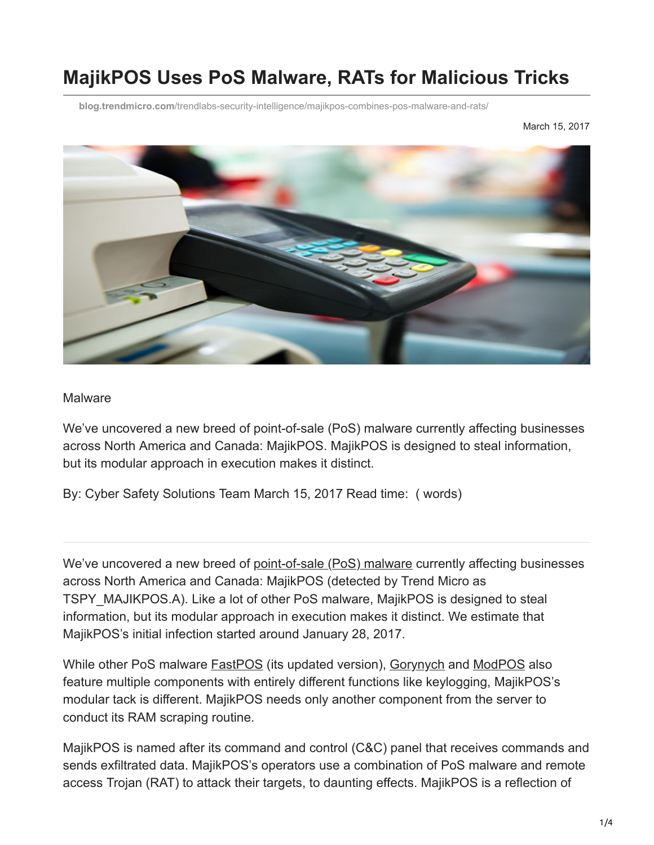# **MajikPOS Uses PoS Malware, RATs for Malicious Tricks**

**blog.trendmicro.com**[/trendlabs-security-intelligence/majikpos-combines-pos-malware-and-rats/](http://blog.trendmicro.com/trendlabs-security-intelligence/majikpos-combines-pos-malware-and-rats/)

March 15, 2017



#### Malware

We've uncovered a new breed of point-of-sale (PoS) malware currently affecting businesses across North America and Canada: MajikPOS. MajikPOS is designed to steal information, but its modular approach in execution makes it distinct.

By: Cyber Safety Solutions Team March 15, 2017 Read time: ( words)

We've uncovered a new breed of [point-of-sale \(PoS\) malware](https://www.trendmicro.com/vinfo/tmr/?/us/security/definition/PoS-(point-of-sale)-malware) currently affecting businesses across North America and Canada: MajikPOS (detected by Trend Micro as TSPY\_MAJIKPOS.A). Like a lot of other PoS malware, MajikPOS is designed to steal information, but its modular approach in execution makes it distinct. We estimate that MajikPOS's initial infection started around January 28, 2017.

While other PoS malware [FastPOS](http://blog.trendmicro.com/trendlabs-security-intelligence/fastpos-updates-in-time-for-retail-sale-season/) (its updated version), [Gorynych](http://blog.trendmicro.com/trendlabs-security-intelligence/operation-black-atlas-part-2-tools-and-malware-used-and-how-to-detect-them/) and [ModPOS](http://blog.trendmicro.com/trendlabs-security-intelligence/operation-black-atlas-endangers-in-store-card-payments-and-smbs-worldwide-switches-between-blackpos-and-other-tools/) also feature multiple components with entirely different functions like keylogging, MajikPOS's modular tack is different. MajikPOS needs only another component from the server to conduct its RAM scraping routine.

MajikPOS is named after its command and control (C&C) panel that receives commands and sends exfiltrated data. MajikPOS's operators use a combination of PoS malware and remote access Trojan (RAT) to attack their targets, to daunting effects. MajikPOS is a reflection of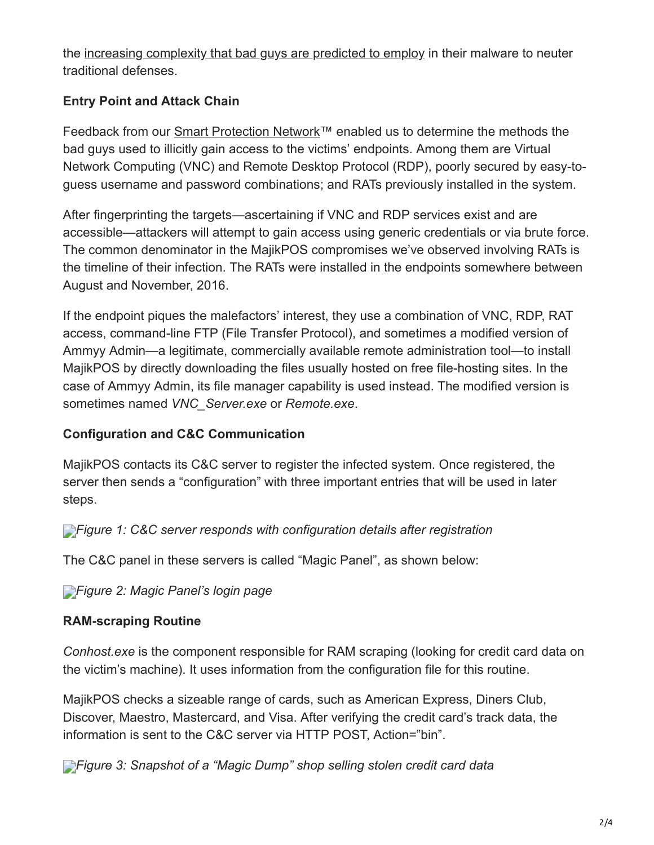the [increasing complexity that bad guys are predicted to employ](https://www.trendmicro.com/vinfo/tmr/?/us/security/research-and-analysis/predictions/2017) in their malware to neuter traditional defenses.

# **Entry Point and Attack Chain**

Feedback from our [Smart Protection Network™](http://blog.trendmicro.com/en_us/business/technologies/smart-protection-network.html) enabled us to determine the methods the bad guys used to illicitly gain access to the victims' endpoints. Among them are Virtual Network Computing (VNC) and Remote Desktop Protocol (RDP), poorly secured by easy-toguess username and password combinations; and RATs previously installed in the system.

After fingerprinting the targets—ascertaining if VNC and RDP services exist and are accessible—attackers will attempt to gain access using generic credentials or via brute force. The common denominator in the MajikPOS compromises we've observed involving RATs is the timeline of their infection. The RATs were installed in the endpoints somewhere between August and November, 2016.

If the endpoint piques the malefactors' interest, they use a combination of VNC, RDP, RAT access, command-line FTP (File Transfer Protocol), and sometimes a modified version of Ammyy Admin—a legitimate, commercially available remote administration tool—to install MajikPOS by directly downloading the files usually hosted on free file-hosting sites. In the case of Ammyy Admin, its file manager capability is used instead. The modified version is sometimes named *VNC\_Server.exe* or *Remote.exe*.

#### **Configuration and C&C Communication**

MajikPOS contacts its C&C server to register the infected system. Once registered, the server then sends a "configuration" with three important entries that will be used in later steps.

*[F](http://blog.trendmicro.com/content/dam/trendmicro/global/en/migrated/security-intelligence-migration-spreadsheet/trendlabs-security-intelligence/2017/03/majikpos-1.png)igure 1: C&C server responds with configuration details after registration*

The C&C panel in these servers is called "Magic Panel", as shown below:

*[F](http://blog.trendmicro.com/content/dam/trendmicro/global/en/migrated/security-intelligence-migration-spreadsheet/trendlabs-security-intelligence/2017/03/majikpos-2.png)igure 2: Magic Panel's login page*

# **RAM-scraping Routine**

*Conhost.exe* is the component responsible for RAM scraping (looking for credit card data on the victim's machine). It uses information from the configuration file for this routine.

MajikPOS checks a sizeable range of cards, such as American Express, Diners Club, Discover, Maestro, Mastercard, and Visa. After verifying the credit card's track data, the information is sent to the C&C server via HTTP POST, Action="bin".

*[F](http://blog.trendmicro.com/content/dam/trendmicro/global/en/migrated/security-intelligence-migration-spreadsheet/trendlabs-security-intelligence/2017/03/majikpos-3.png)igure 3: Snapshot of a "Magic Dump" shop selling stolen credit card data*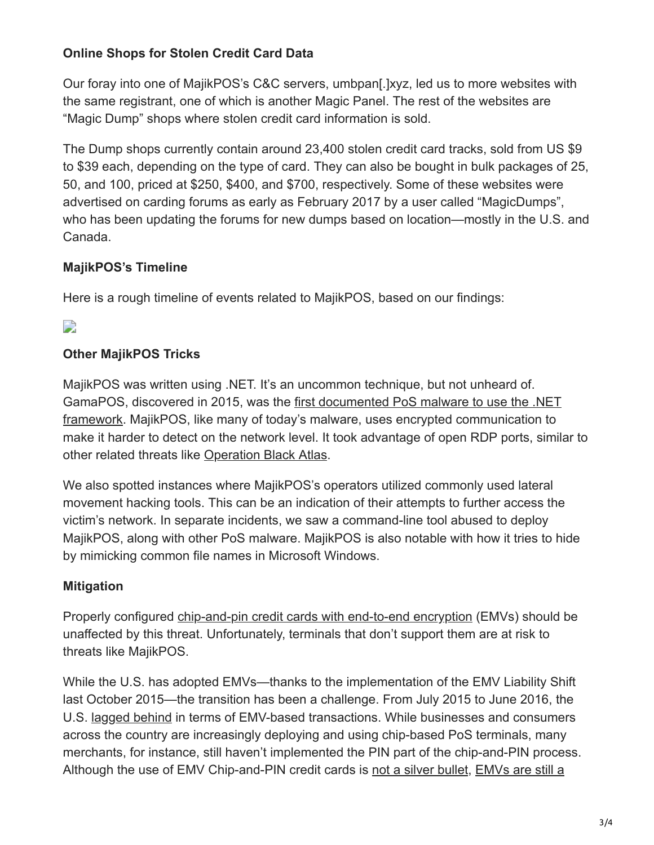### **Online Shops for Stolen Credit Card Data**

Our foray into one of MajikPOS's C&C servers, umbpan[.]xyz, led us to more websites with the same registrant, one of which is another Magic Panel. The rest of the websites are "Magic Dump" shops where stolen credit card information is sold.

The Dump shops currently contain around 23,400 stolen credit card tracks, sold from US \$9 to \$39 each, depending on the type of card. They can also be bought in bulk packages of 25, 50, and 100, priced at \$250, \$400, and \$700, respectively. Some of these websites were advertised on carding forums as early as February 2017 by a user called "MagicDumps", who has been updating the forums for new dumps based on location—mostly in the U.S. and Canada.

### **MajikPOS's Timeline**

Here is a rough timeline of events related to MajikPOS, based on our findings:

# $\overline{\phantom{a}}$

### **Other MajikPOS Tricks**

MajikPOS was written using .NET. It's an uncommon technique, but not unheard of. [GamaPOS, discovered in 2015, was the first documented PoS malware to use the .NET](http://blog.trendmicro.com/trendlabs-security-intelligence/new-gamapos-threat-spreads-in-the-us-via-andromeda-botnet/) framework. MajikPOS, like many of today's malware, uses encrypted communication to make it harder to detect on the network level. It took advantage of open RDP ports, similar to other related threats like [Operation Black Atlas.](http://blog.trendmicro.com/trendlabs-security-intelligence/operation-black-atlas-endangers-in-store-card-payments-and-smbs-worldwide-switches-between-blackpos-and-other-tools/)

We also spotted instances where MajikPOS's operators utilized commonly used lateral movement hacking tools. This can be an indication of their attempts to further access the victim's network. In separate incidents, we saw a command-line tool abused to deploy MajikPOS, along with other PoS malware. MajikPOS is also notable with how it tries to hide by mimicking common file names in Microsoft Windows.

# **Mitigation**

Properly configured [chip-and-pin credit cards with end-to-end encryption](http://blog.trendmicro.com/trendlabs-security-intelligence/moving-forward-with-emv-and-other-payment-technologies/) (EMVs) should be unaffected by this threat. Unfortunately, terminals that don't support them are at risk to threats like MajikPOS.

While the U.S. has adopted EMVs—thanks to the implementation of the EMV Liability Shift last October 2015—the transition has been a challenge. From July 2015 to June 2016, the U.S. [lagged behind](https://www.emvco.com/about_emvco.aspx?id=202) in terms of EMV-based transactions. While businesses and consumers across the country are increasingly deploying and using chip-based PoS terminals, many merchants, for instance, still haven't implemented the PIN part of the chip-and-PIN process. [Although the use of EMV Chip-and-PIN credit cards is not a silver bullet, EMVs are still a](https://www.trendmicro.com/vinfo/tmr/?/us/security/news/security-technology/faq-emv-credit-cards)